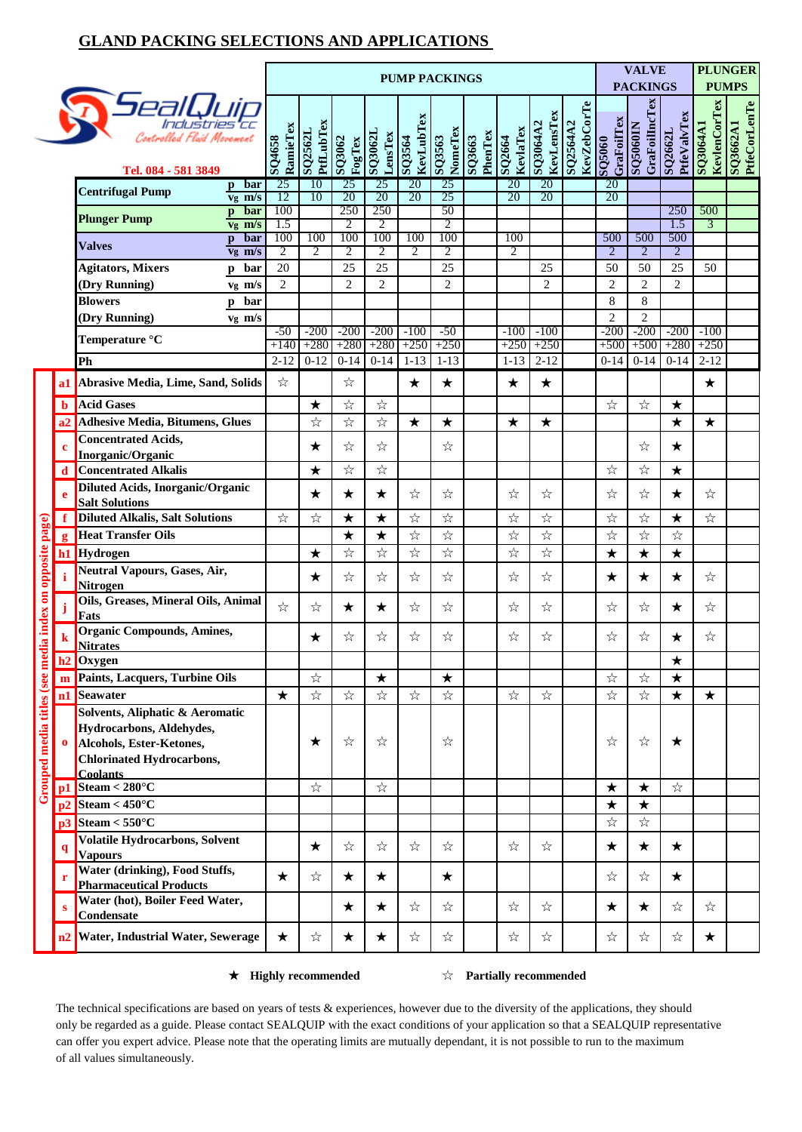## **GLAND PACKING SELECTIONS AND APPLICATIONS**

|                                                         |              |                                                                                                                             | <b>PUMP PACKINGS</b>         |                                   |                              |                              |                                   |                              |                   |                                   |                              | <b>VALVE</b>                   | <b>PLUNGER</b>               |                                   |                              |                                 |                          |  |  |  |  |
|---------------------------------------------------------|--------------|-----------------------------------------------------------------------------------------------------------------------------|------------------------------|-----------------------------------|------------------------------|------------------------------|-----------------------------------|------------------------------|-------------------|-----------------------------------|------------------------------|--------------------------------|------------------------------|-----------------------------------|------------------------------|---------------------------------|--------------------------|--|--|--|--|
|                                                         |              |                                                                                                                             |                              |                                   |                              |                              |                                   |                              |                   |                                   | <b>PACKINGS</b>              |                                |                              | <b>PUMPS</b>                      |                              |                                 |                          |  |  |  |  |
|                                                         |              | Controlled Flaid Movement                                                                                                   | RamieTex<br>SQ4658           | <b>PtfLubTex</b><br>SQ2562L       | SQ3062<br>FogTex             | SQ3062L<br>LensTex           | KevLubTex<br><b>195608</b>        | NomeTex<br>SQ3563            | PhenTex<br>SQ3663 | KevlaTex<br><b>r997OS</b>         | KevLensTex<br>SQ3064A2       | <b>KevZebCorTe</b><br>SQ2564A2 | GraFoilTex                   | <b>GraFoilIncTex</b><br>SQ5060IN  | PtfeValvTex<br>SQ2662L       | <b>KevlenCorTex</b><br>SQ3064A1 | SQ3662A1<br>PtfeCorLenTe |  |  |  |  |
|                                                         |              | Tel. 084 - 581 3849                                                                                                         |                              |                                   |                              |                              |                                   |                              |                   |                                   |                              |                                | 0905OS                       |                                   |                              |                                 |                          |  |  |  |  |
|                                                         |              | bar<br>$\mathbf{p}$<br><b>Centrifugal Pump</b><br>$v_g$ m/s                                                                 | 25<br>12                     | 10<br>10                          | 25<br>20                     | 25<br>20                     | 20<br>20                          | 25<br>25                     |                   | 20<br>20                          | 20<br>20                     |                                | 20<br>20                     |                                   |                              |                                 |                          |  |  |  |  |
|                                                         |              | bar<br>$\mathbf{p}$<br><b>Plunger Pump</b>                                                                                  | 100                          |                                   | 250                          | 250                          |                                   | 50                           |                   |                                   |                              |                                |                              |                                   | 250                          | 500                             |                          |  |  |  |  |
|                                                         |              | $v_g$ m/s<br>bar                                                                                                            | 1.5<br>100                   | 100                               | 2<br>100                     | 2<br>100                     | 100                               | 2<br>100                     |                   | 100                               |                              |                                | 500                          | 500                               | 1.5<br>500                   | 3                               |                          |  |  |  |  |
|                                                         |              | $\mathbf{p}$<br><b>Valves</b><br>$v_{\rm g}$ m/s                                                                            | $\overline{2}$               | $\overline{2}$                    | 2                            | $\overline{2}$               | 2                                 | 2                            |                   | $\overline{2}$                    |                              |                                | 2                            | $\overline{2}$                    | $\overline{2}$               |                                 |                          |  |  |  |  |
|                                                         |              | <b>Agitators, Mixers</b><br>bar<br>p                                                                                        | 20                           |                                   | 25                           | 25                           |                                   | 25                           |                   |                                   | 25                           |                                | 50                           | 50                                | 25                           | 50                              |                          |  |  |  |  |
|                                                         |              | (Dry Running)<br>$v_g$ m/s                                                                                                  | 2                            |                                   | $\overline{2}$               | $\overline{2}$               |                                   | $\overline{2}$               |                   |                                   | $\overline{2}$               |                                | $\overline{2}$               | $\overline{2}$                    | $\overline{2}$               |                                 |                          |  |  |  |  |
|                                                         |              | <b>Blowers</b><br>bar<br>p                                                                                                  |                              |                                   |                              |                              |                                   |                              |                   |                                   |                              |                                | 8                            | 8                                 |                              |                                 |                          |  |  |  |  |
|                                                         |              | (Dry Running)<br>vg m/s                                                                                                     | $-50$                        | $-200$                            | $-200$                       | $-200$                       | $-100$                            | $-50$                        |                   | $-100$                            | $-100$                       |                                | $\overline{c}$<br>$-200$     | $\overline{2}$<br>$-200$          | $-200$                       | $-100$                          |                          |  |  |  |  |
|                                                         |              | Temperature °C                                                                                                              | $+140$                       | $+280$                            | $+280$                       | $+280$                       | $+250$                            | $+250$                       |                   | $+250$                            | $+250$                       |                                | $+500$                       | $+500$                            | $+280$                       | $+250$                          |                          |  |  |  |  |
|                                                         |              | Ph                                                                                                                          | $2 - 12$                     | $0 - 12$                          | $0 - 14$                     | $0 - 14$                     | $1 - 13$                          | $1 - 13$                     |                   | $1 - 13$                          | $2 - 12$                     |                                | $0-14$                       | $0 - 14$                          | $0 - 14$                     | $2 - 12$                        |                          |  |  |  |  |
|                                                         | a1           | <b>Abrasive Media, Lime, Sand, Solids</b>                                                                                   | ☆                            |                                   | ☆                            |                              | $\star$                           | ★                            |                   | $\star$                           | ★                            |                                |                              |                                   |                              | $\star$                         |                          |  |  |  |  |
|                                                         | b            | <b>Acid Gases</b>                                                                                                           |                              | $\star$                           | $\stackrel{\wedge}{\bowtie}$ | $\stackrel{\wedge}{\bowtie}$ |                                   |                              |                   |                                   |                              |                                | $\stackrel{\wedge}{\bowtie}$ | $\stackrel{\rightarrow}{\bowtie}$ | $\star$                      |                                 |                          |  |  |  |  |
|                                                         |              | <b>Adhesive Media, Bitumens, Glues</b>                                                                                      |                              | $x^4$                             | $x^4$                        | ☆                            | $\star$                           | $\star$                      |                   | $\star$                           | ★                            |                                |                              |                                   | $\star$                      | $\bigstar$                      |                          |  |  |  |  |
|                                                         |              | <b>Concentrated Acids,</b>                                                                                                  |                              | $\star$                           | ☆                            | ☆                            |                                   | ☆                            |                   |                                   |                              |                                |                              | ☆                                 | $\star$                      |                                 |                          |  |  |  |  |
|                                                         |              | Inorganic/Organic                                                                                                           |                              | $\star$                           | ☆                            | $\stackrel{\wedge}{\bowtie}$ |                                   |                              |                   |                                   |                              |                                | $\stackrel{\wedge}{\bowtie}$ | $\stackrel{\wedge}{\bowtie}$      |                              |                                 |                          |  |  |  |  |
|                                                         |              | <b>Concentrated Alkalis</b><br>Diluted Acids, Inorganic/Organic                                                             |                              |                                   |                              |                              |                                   |                              |                   |                                   |                              |                                |                              |                                   | $\star$                      |                                 |                          |  |  |  |  |
|                                                         |              | <b>Salt Solutions</b>                                                                                                       |                              | $\star$                           | $\star$                      | $\star$                      | ☆                                 | ☆                            |                   | ☆                                 | ☆                            |                                | ☆                            | ☆                                 | ★                            | ☆                               |                          |  |  |  |  |
|                                                         | f            | <b>Diluted Alkalis, Salt Solutions</b>                                                                                      | ☆                            | $\stackrel{\rightarrow}{\bowtie}$ | $\star$                      | $\star$                      | $\stackrel{\wedge}{\bowtie}$      | $\stackrel{\wedge}{\bowtie}$ |                   | $\stackrel{\rightarrow}{\bowtie}$ | $\stackrel{\wedge}{\bowtie}$ |                                | $\stackrel{\wedge}{\bowtie}$ | $\stackrel{\wedge}{\bowtie}$      | $\star$                      | ☆                               |                          |  |  |  |  |
|                                                         | $\mathbf{g}$ | <b>Heat Transfer Oils</b>                                                                                                   |                              |                                   | $\star$                      | $\star$                      | $\stackrel{\wedge}{\bowtie}$      | ☆                            |                   | $\stackrel{\wedge}{\bowtie}$      | $x^4$                        |                                | $\stackrel{\wedge}{\bowtie}$ | $\stackrel{\wedge}{\bowtie}$      | $\stackrel{\wedge}{\bowtie}$ |                                 |                          |  |  |  |  |
|                                                         | h1           | Hydrogen                                                                                                                    |                              | $\star$                           | $\stackrel{\wedge}{\bowtie}$ | $\stackrel{\wedge}{\bowtie}$ | $\stackrel{\wedge}{\bowtie}$      | $\stackrel{\wedge}{\bowtie}$ |                   | $x^4$                             | $\stackrel{\wedge}{\bowtie}$ |                                | $\star$                      | $\star$                           | $\star$                      |                                 |                          |  |  |  |  |
|                                                         |              | <b>Neutral Vapours, Gases, Air,</b><br><b>Nitrogen</b>                                                                      |                              | ★                                 | ☆                            | ☆                            | ☆                                 | ☆                            |                   | ☆                                 | ☆                            |                                | ★                            | $\star$                           | $\star$                      | ☆                               |                          |  |  |  |  |
|                                                         | Ĵ            | Oils, Greases, Mineral Oils, Animal<br>Fats                                                                                 | $\stackrel{\wedge}{\bowtie}$ | ☆                                 | $\bigstar$                   | $\star$                      | ☆                                 | ☆                            |                   | ☆                                 | ☆                            |                                | ☆                            | ☆                                 | $\bigstar$                   | ☆                               |                          |  |  |  |  |
|                                                         |              | Organic Compounds, Amines,<br><b>Nitrates</b>                                                                               |                              | $\star$                           | ☆                            | ☆                            | ☆                                 | ☆                            |                   | ☆                                 | ☆                            |                                | ☆                            | ☆                                 | ★                            | ☆                               |                          |  |  |  |  |
|                                                         | h2           | <b>Oxygen</b>                                                                                                               |                              |                                   |                              |                              |                                   |                              |                   |                                   |                              |                                |                              |                                   | $\bigstar$                   |                                 |                          |  |  |  |  |
|                                                         | m            | Paints, Lacquers, Turbine Oils                                                                                              |                              | $\stackrel{\rightarrow}{\bowtie}$ |                              | $\bigstar$                   |                                   | $\bigstar$                   |                   |                                   |                              |                                | $\stackrel{\wedge}{\bowtie}$ | ☆                                 | $\star$                      |                                 |                          |  |  |  |  |
| Grouped media titles (see media index on opposite page) | n1           | Seawater                                                                                                                    | $\star$                      | $\stackrel{\rightarrow}{\bowtie}$ | $\stackrel{\wedge}{\bowtie}$ | $\stackrel{\wedge}{\bowtie}$ | $\stackrel{\rightarrow}{\bowtie}$ | ☆                            |                   | $\stackrel{\rightarrow}{\bowtie}$ | ☆                            |                                | $\stackrel{\wedge}{\bowtie}$ | $\stackrel{\wedge}{\bowtie}$      | $\star$                      | $\star$                         |                          |  |  |  |  |
|                                                         | $\bf{0}$     | Solvents, Aliphatic & Aeromatic<br>Hydrocarbons, Aldehydes,<br>Alcohols, Ester-Ketones,<br><b>Chlorinated Hydrocarbons,</b> |                              | ★                                 | ☆                            | ☆                            |                                   | ☆                            |                   |                                   |                              |                                | ☆                            | ☆                                 | ★                            |                                 |                          |  |  |  |  |
|                                                         |              | <b>Coolants</b><br>Steam < $280^{\circ}$ C                                                                                  |                              | ☆                                 |                              |                              |                                   |                              |                   |                                   |                              |                                |                              |                                   |                              |                                 |                          |  |  |  |  |
|                                                         | $\mathbf{p}$ | Steam < $450^{\circ}$ C                                                                                                     |                              |                                   |                              | ☆                            |                                   |                              |                   |                                   |                              |                                | ★<br>$\star$                 | $\bigstar$<br>★                   | ☆                            |                                 |                          |  |  |  |  |
|                                                         |              | Steam < $550^{\circ}$ C                                                                                                     |                              |                                   |                              |                              |                                   |                              |                   |                                   |                              |                                | ☆                            | ☆                                 |                              |                                 |                          |  |  |  |  |
|                                                         |              | <b>Volatile Hydrocarbons, Solvent</b>                                                                                       |                              | ★                                 | ☆                            | ☆                            | ☆                                 | ☆                            |                   | ☆                                 | ☆                            |                                | ★                            | $\star$                           | ★                            |                                 |                          |  |  |  |  |
|                                                         |              | <b>Vapours</b><br>Water (drinking), Food Stuffs,                                                                            | $\bigstar$                   | ☆                                 | $\bigstar$                   | ★                            |                                   | ★                            |                   |                                   |                              |                                | ☆                            | ☆                                 | $\bigstar$                   |                                 |                          |  |  |  |  |
|                                                         | s            | <b>Pharmaceutical Products</b><br>Water (hot), Boiler Feed Water,                                                           |                              |                                   | ★                            | ★                            | ☆                                 | ☆                            |                   | ☆                                 | ☆                            |                                | ★                            | $\star$                           | ☆                            | ☆                               |                          |  |  |  |  |
|                                                         | n2           | Condensate<br><b>Water, Industrial Water, Sewerage</b>                                                                      | ★                            | ☆                                 | $\bigstar$                   | $\star$                      | ☆                                 | ☆                            |                   | ☆                                 | ☆                            |                                | ☆                            | ☆                                 | ☆                            | $\star$                         |                          |  |  |  |  |
|                                                         |              |                                                                                                                             |                              |                                   |                              |                              |                                   |                              |                   |                                   |                              |                                |                              |                                   |                              |                                 |                          |  |  |  |  |

## **★** Highly recommended  $\star$  **Partially recommended**

of all values simultaneously. only be regarded as a guide. Please contact SEALQUIP with the exact conditions of your application so that a SEALQUIP representative can offer you expert advice. Please note that the operating limits are mutually dependant, it is not possible to run to the maximum The technical specifications are based on years of tests & experiences, however due to the diversity of the applications, they should